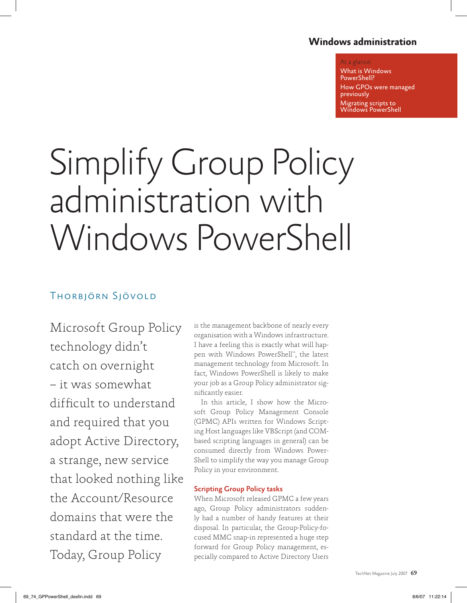### **Windows administration**

#### At a glance:

What is Windows PowerShell? How GPOs were managed previously Migrating scripts to Windows PowerShell

# Simplify Group Policy administration with Windows PowerShell

## Thorbjörn Sjövold

Microsoft Group Policy technology didn't catch on overnight – it was somewhat difficult to understand and required that you adopt Active Directory, a strange, new service that looked nothing like the Account/Resource domains that were the standard at the time. Today, Group Policy

is the management backbone of nearly every organisation with a Windows infrastructure. I have a feeling this is exactly what will happen with Windows PowerShell™ , the latest management technology from Microsoft. In fact, Windows PowerShell is likely to make your job as a Group Policy administrator significantly easier.

In this article, I show how the Microsoft Group Policy Management Console (GPMC) APIs written for Windows Scripting Host languages like VBScript (and COMbased scripting languages in general) can be consumed directly from Windows Power-Shell to simplify the way you manage Group Policy in your environment.

#### Scripting Group Policy tasks

When Microsoft released GPMC a few years ago, Group Policy administrators suddenly had a number of handy features at their disposal. In particular, the Group-Policy-focused MMC snap-in represented a huge step forward for Group Policy management, especially compared to Active Directory Users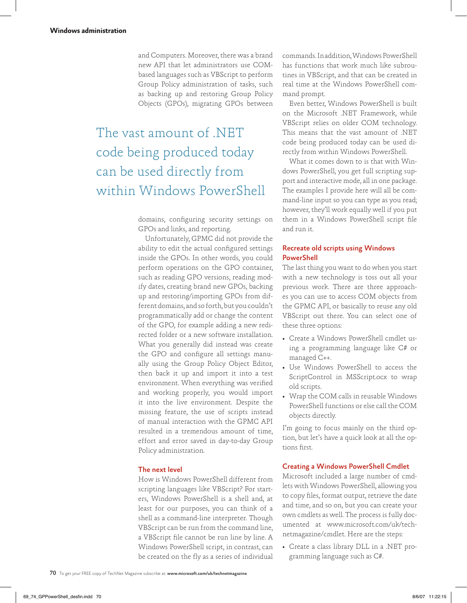and Computers. Moreover, there was a brand new API that let administrators use COMbased languages such as VBScript to perform Group Policy administration of tasks, such as backing up and restoring Group Policy Objects (GPOs), migrating GPOs between

## The vast amount of .NET code being produced today can be used directly from within Windows PowerShell

domains, configuring security settings on GPOs and links, and reporting.

Unfortunately, GPMC did not provide the ability to edit the actual configured settings inside the GPOs. In other words, you could perform operations on the GPO container, such as reading GPO versions, reading modify dates, creating brand new GPOs, backing up and restoring/importing GPOs from different domains, and so forth, but you couldn't programmatically add or change the content of the GPO, for example adding a new redirected folder or a new software installation. What you generally did instead was create the GPO and configure all settings manually using the Group Policy Object Editor, then back it up and import it into a test environment. When everything was verified and working properly, you would import it into the live environment. Despite the missing feature, the use of scripts instead of manual interaction with the GPMC API resulted in a tremendous amount of time, effort and error saved in day-to-day Group Policy administration.

#### The next level

How is Windows PowerShell different from scripting languages like VBScript? For starters, Windows PowerShell is a shell and, at least for our purposes, you can think of a shell as a command-line interpreter. Though VBScript can be run from the command line, a VBScript file cannot be run line by line. A Windows PowerShell script, in contrast, can be created on the fly as a series of individual

commands. In addition, Windows PowerShell has functions that work much like subroutines in VBScript, and that can be created in real time at the Windows PowerShell command prompt.

Even better, Windows PowerShell is built on the Microsoft .NET Framework, while VBScript relies on older COM technology. This means that the vast amount of .NET code being produced today can be used directly from within Windows PowerShell.

What it comes down to is that with Windows PowerShell, you get full scripting support and interactive mode, all in one package. The examples I provide here will all be command-line input so you can type as you read; however, they'll work equally well if you put them in a Windows PowerShell script file and run it.

#### Recreate old scripts using Windows **PowerShell**

The last thing you want to do when you start with a new technology is toss out all your previous work. There are three approaches you can use to access COM objects from the GPMC API, or basically to reuse any old VBScript out there. You can select one of these three options:

- Create a Windows PowerShell cmdlet using a programming language like C# or managed C++.
- Use Windows PowerShell to access the ScriptControl in MSScript.ocx to wrap old scripts.
- Wrap the COM calls in reusable Windows PowerShell functions or else call the COM objects directly.

I'm going to focus mainly on the third option, but let's have a quick look at all the options first.

#### Creating a Windows PowerShell Cmdlet

Microsoft included a large number of cmdlets with Windows PowerShell, allowing you to copy files, format output, retrieve the date and time, and so on, but you can create your own cmdlets as well. The process is fully documented at www.microsoft.com/uk/technetmagazine/cmdlet. Here are the steps:

• Create a class library DLL in a .NET programming language such as C#.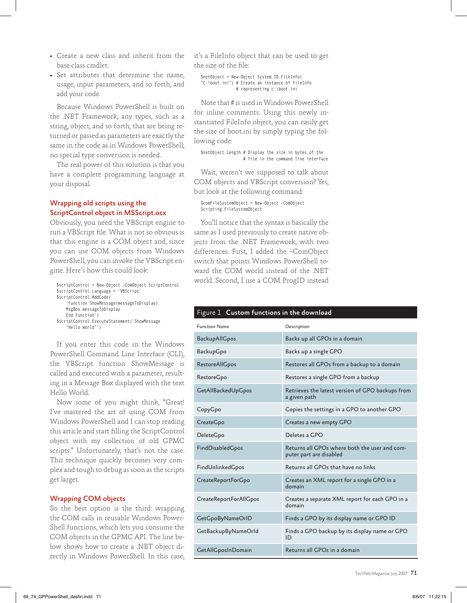- Create a new class and inherit from the base class cmdlet.
- Set attributes that determine the name, usage, input parameters, and so forth, and add your code.

Because Windows PowerShell is built on the .NET Framework, any types, such as a string, object, and so forth, that are being returned or passed as parameters are exactly the same in the code as in Windows PowerShell; no special type conversion is needed.

The real power of this solution is that you have a complete programming language at your disposal.

#### Wrapping old scripts using the ScriptControl object in MSScript.ocx

Obviously, you need the VBScript engine to run a VBScript file. What is not so obvious is that this engine is a COM object and, since you can use COM objects from Windows PowerShell, you can invoke the VBScript engine. Here's how this could look:

```
$scriptControl = New-Object -ComObject ScriptControl
$scriptControl.Language = 'VBScript'
$scriptControl.AddCode(
     'Function ShowMessage(messageToDisplay)
     MsgBox messageToDisplay
    End Function')
$scriptControl.ExecuteStatement('ShowMessage
     "Hello World"')
```
If you enter this code in the Windows PowerShell Command Line Interface (CLI), the VBScript function ShowMessage is called and executed with a parameter, resulting in a Message Box displayed with the text Hello World.

Now some of you might think, "Great! I've mastered the art of using COM from Windows PowerShell and I can stop reading this article and start filling the ScriptControl object with my collection of old GPMC scripts." Unfortunately, that's not the case. This technique quickly becomes very complex and tough to debug as soon as the scripts get larger.

#### Wrapping COM objects

So the best option is the third: wrapping the COM calls in reusable Windows Power-Shell functions, which lets you consume the COM objects in the GPMC API. The line below shows how to create a .NET object directly in Windows PowerShell. In this case, it's a FileInfo object that can be used to get the size of the file:

\$netObject = New-Object System.IO.FileInfo( "C:\boot.ini") # Create an instance of FileInfo # representing c:\boot.ini

Note that # is used in Windows PowerShell for inline comments. Using this newly instantiated FileInfo object, you can easily get the size of boot.ini by simply typing the following code:

\$netObject.Length # Display the size in bytes of the # file in the command line interface

Wait, weren't we supposed to talk about COM objects and VBScript conversion? Yes, but look at the following command:

\$comFileSystemObject = New-Object –ComObject Scripting.FileSystemObject

You'll notice that the syntax is basically the same as I used previously to create native objects from the .NET Framework, with two differences. First, I added the –ComObject switch that points Windows PowerShell toward the COM world instead of the .NET world. Second, I use a COM ProgID instead

#### Figure 1 Custom functions in the download

| <b>Function Name</b>      | Description                                                              |
|---------------------------|--------------------------------------------------------------------------|
| BackupAllGpos             | Backs up all GPOs in a domain                                            |
| BackupGpo                 | Backs up a single GPO                                                    |
| <b>RestoreAllGpos</b>     | Restores all GPOs from a backup to a domain                              |
| <b>RestoreGpo</b>         | Restores a single GPO from a backup                                      |
| GetAllBackedUpGpos        | Retrieves the latest version of GPO backups from<br>a given path         |
| CopyGpo                   | Copies the settings in a GPO to another GPO                              |
| CreateGpo                 | Creates a new empty GPO                                                  |
| DeleteGpo                 | Deletes a GPO                                                            |
| FindDisabledGpos          | Returns all GPOs where both the user and com-<br>puter part are disabled |
| FindUnlinkedGpos          | Returns all GPOs that have no links                                      |
| CreateReportForGpo        | Creates an XML report for a single GPO in a<br>domain                    |
| CreateReportForAllGpos    | Creates a separate XML report for each GPO in a<br>domain                |
| GetGpoByNameOrID          | Finds a GPO by its display name or GPO ID                                |
| GetBackupByNameOrld       | Finds a GPO backup by its display name or GPO<br>ID                      |
| <b>GetAllGposInDomain</b> | Returns all GPOs in a domain                                             |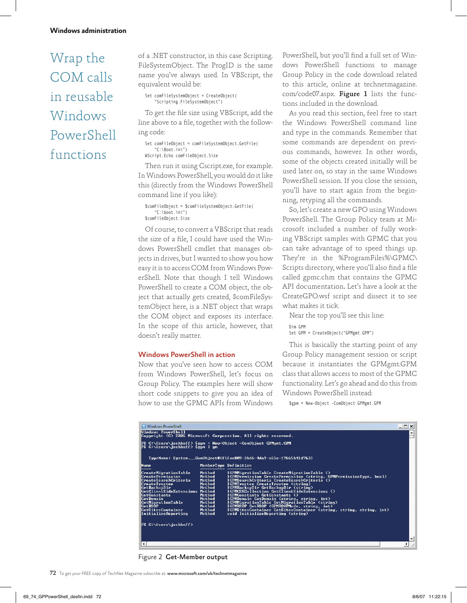# Wrap the COM calls in reusable Windows PowerShell functions

of a .NET constructor, in this case Scripting. FileSystemObject. The ProgID is the same name you've always used. In VBScript, the equivalent would be:

Set comFileSystemObject = CreateObject( "Scripting.FileSystemObject")

To get the file size using VBScript, add the line above to a file, together with the following code:

Set comFileObject = comFileSystemObject.GetFile( "C:\Boot.ini") WScript.Echo comFileObject.Size

Then run it using Cscript.exe, for example. In Windows PowerShell, you would do it like this (directly from the Windows PowerShell command line if you like):

\$comFileObject = \$comFileSystemObject.GetFile( "C:\boot.ini") \$comFileObject.Size

Of course, to convert a VBScript that reads the size of a file, I could have used the Windows PowerShell cmdlet that manages objects in drives, but I wanted to show you how easy it is to access COM from Windows PowerShell. Note that though I tell Windows PowerShell to create a COM object, the object that actually gets created, \$comFileSystemObject here, is a .NET object that wraps the COM object and exposes its interface. In the scope of this article, however, that doesn't really matter.

#### Windows PowerShell in action

Now that you've seen how to access COM from Windows PowerShell, let's focus on Group Policy. The examples here will show short code snippets to give you an idea of how to use the GPMC APIs from Windows

PowerShell, but you'll find a full set of Windows PowerShell functions to manage Group Policy in the code download related to this article, online at technetmagazine. com/code07.aspx. Figure 1 lists the functions included in the download.

As you read this section, feel free to start the Windows PowerShell command line and type in the commands. Remember that some commands are dependent on previous commands, however. In other words, some of the objects created initially will be used later on, so stay in the same Windows PowerShell session. If you close the session, you'll have to start again from the beginning, retyping all the commands.

So, let's create a new GPO using Windows PowerShell. The Group Policy team at Microsoft included a number of fully working VBScript samples with GPMC that you can take advantage of to speed things up. They're in the %ProgramFiles%\GPMC\ Scripts directory, where you'll also find a file called gpmc.chm that contains the GPMC API documentation. Let's have a look at the CreateGPO.wsf script and dissect it to see what makes it tick.

Near the top you'll see this line: Dim GPM

Set GPM = CreateObject("GPMgmt.GPM")

This is basically the starting point of any Group Policy management session or script because it instantiates the GPMgmt.GPM class that allows access to most of the GPMC functionality. Let's go ahead and do this from Windows PowerShell instead:

\$gpm = New-Object -ComObject GPMgmt.GPM

| MemberType Definition<br>Method<br>IGPMMigrationTable CreateMigrationTable ()<br>IGPMPermission CreatePermission (string, GPMPermissionType, bool)<br>Method<br>IGPMSearchCriteria CreateSearchCriteria ()<br>Method<br>Method<br>IGPMTrustee CreateTrustee (string)<br>Method<br>IGPMBackupDir GetBackupDir (string)<br>IGPMCSECollection GetClientSideExtensions ()<br>GetClientSideExtensions Method<br>IGPMConstants GetConstants ()<br>Method<br>Method<br>IGPMDomain GetDomain (string, string, int)<br>IGPMMigrationTable GetMigrationTable (string)<br>Method<br>IGPMRSOP GetRSOP (GPMRSOPMode, string, int)<br>Method<br>IGPMSitesContainer GetSitesContainer (string, string, string, int)<br>Method<br>void InitializeReporting (string)<br>Method | <b>Ex Windows PowerShell</b><br>니미<br>Windows PowerShell<br>Copyright (C) 2006 Microsoft Corporation. All rights reserved.<br>PS C:\Users\joshhoff> \$gpm = New-Object -ComObject GPMgmt.GPM<br>PS C:\Users\joshhoff> \$gpm   gm<br>TypeName: System. __ComObject#{f5fae809-3bd6-4da9-a65e-17665b41d763} |  |  |  |
|---------------------------------------------------------------------------------------------------------------------------------------------------------------------------------------------------------------------------------------------------------------------------------------------------------------------------------------------------------------------------------------------------------------------------------------------------------------------------------------------------------------------------------------------------------------------------------------------------------------------------------------------------------------------------------------------------------------------------------------------------------------|----------------------------------------------------------------------------------------------------------------------------------------------------------------------------------------------------------------------------------------------------------------------------------------------------------|--|--|--|
|                                                                                                                                                                                                                                                                                                                                                                                                                                                                                                                                                                                                                                                                                                                                                               | Name<br>CreateMigrationTable<br><b>CreatePermission</b><br> CreateSearchCriteria<br> CreateTrustee<br>GetBackupDir<br>GetConstants<br>GetDomain<br>GetMigrationTable<br> GetRSŌP<br> GetSitesContainer<br>InitializeReporting<br>PS C:\Users\joshhoff>                                                   |  |  |  |

Figure 2 Get-Member output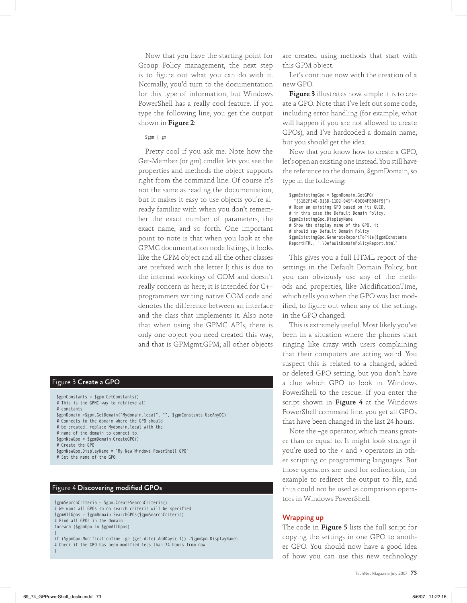Now that you have the starting point for Group Policy management, the next step is to figure out what you can do with it. Normally, you'd turn to the documentation for this type of information, but Windows PowerShell has a really cool feature. If you type the following line, you get the output shown in Figure 2:

#### \$gpm | gm

Pretty cool if you ask me. Note how the Get-Member (or gm) cmdlet lets you see the properties and methods the object supports right from the command line. Of course it's not the same as reading the documentation, but it makes it easy to use objects you're already familiar with when you don't remember the exact number of parameters, the exact name, and so forth. One important point to note is that when you look at the GPMC documentation node listings, it looks like the GPM object and all the other classes are prefixed with the letter I; this is due to the internal workings of COM and doesn't really concern us here; it is intended for C++ programmers writing native COM code and denotes the difference between an interface and the class that implements it. Also note that when using the GPMC APIs, there is only one object you need created this way, and that is GPMgmt.GPM; all other objects

#### Figure 3 Create a GPO

\$gpmConstants = \$gpm.GetConstants() # This is the GPMC way to retrieve all # constants \$gpmDomain =\$gpm.GetDomain("Mydomain.local", "", \$gpmConstants.UseAnyDC) # Connects to the domain where the GPO should # be created, replace Mydomain.local with the # name of the domain to connect to. \$gpmNewGpo = \$gpmDomain.CreateGPO() # Create the GPO \$gpmNewGpo.DisplayName = "My New Windows PowerShell GPO" # Set the name of the GPO

#### Figure 4 Discovering modified GPOs

}

\$gpmSearchCriteria = \$gpm.CreateSearchCriteria() # We want all GPOs so no search criteria will be specified \$gpmAllGpos = \$gpmDomain.SearchGPOs(\$gpmSearchCriteria) # Find all GPOs in the domain foreach (\$gpmGpo in \$gpmAllGpos) { if (\$gpmGpo.ModificationTime -ge (get-date).AddDays(-1)) {\$gpmGpo.DisplayName} # Check if the GPO has been modified less than 24 hours from now

are created using methods that start with this GPM object.

Let's continue now with the creation of a new GPO.

Figure 3 illustrates how simple it is to create a GPO. Note that I've left out some code, including error handling (for example, what will happen if you are not allowed to create GPOs), and I've hardcoded a domain name, but you should get the idea.

Now that you know how to create a GPO, let's open an existing one instead. You still have the reference to the domain, \$gpmDomain, so type in the following:

\$gpmExistingGpo = \$gpmDomain.GetGPO( "{31B2F340-016D-11D2-945F-00C04FB984F9}") # Open an existing GPO based on its GUID, # in this case the Default Domain Policy. \$gpmExistingGpo.DisplayName # Show the display name of the GPO, it # should say Default Domain Policy \$gpmExistingGpo.GenerateReportToFile(\$gpmConstants. ReportHTML, ".\DefaultDomainPolicyReport.html"

This gives you a full HTML report of the settings in the Default Domain Policy, but you can obviously use any of the methods and properties, like ModificationTime, which tells you when the GPO was last modified, to figure out when any of the settings in the GPO changed.

This is extremely useful. Most likely you've been in a situation where the phones start ringing like crazy with users complaining that their computers are acting weird. You suspect this is related to a changed, added or deleted GPO setting, but you don't have a clue which GPO to look in. Windows PowerShell to the rescue! If you enter the script shown in Figure 4 at the Windows PowerShell command line, you get all GPOs that have been changed in the last 24 hours.

Note the –ge operator, which means greater than or equal to. It might look strange if you're used to the < and > operators in other scripting or programming languages. But those operators are used for redirection, for example to redirect the output to file, and thus could not be used as comparison operators in Windows PowerShell.

#### Wrapping up

The code in Figure 5 lists the full script for copying the settings in one GPO to another GPO. You should now have a good idea of how you can use this new technology